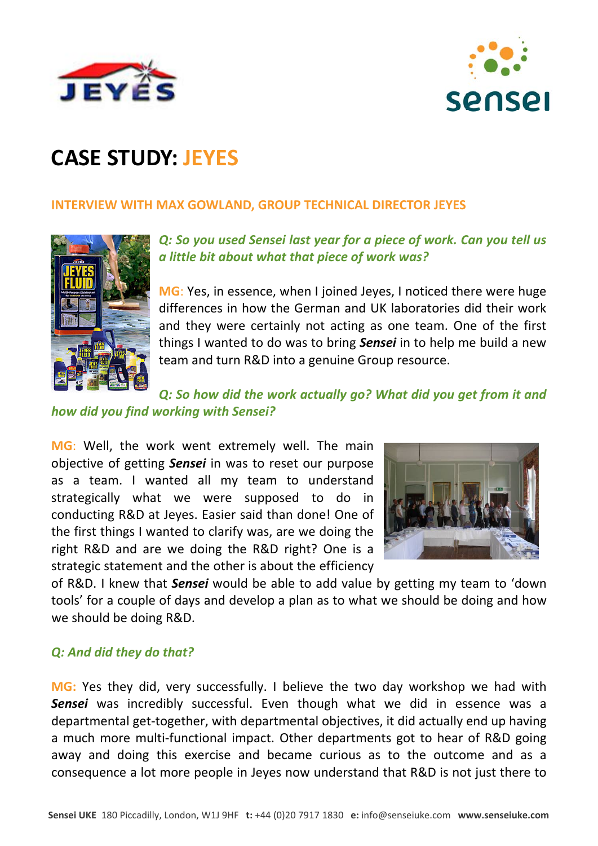



# **CASE STUDY: JEYES**

#### **INTERVIEW WITH MAX GOWLAND, GROUP TECHNICAL DIRECTOR JEYES**



## *Q: So you used Sensei last year for a piece of work. Can you tell us a little bit about what that piece of work was?*

**MG**: Yes, in essence, when I joined Jeyes, I noticed there were huge differences in how the German and UK laboratories did their work and they were certainly not acting as one team. One of the first things I wanted to do was to bring *Sensei* in to help me build a new team and turn R&D into a genuine Group resource.

#### *Q: So how did the work actually go? What did you get from it and how did you find working with Sensei?*

**MG**: Well, the work went extremely well. The main objective of getting *Sensei* in was to reset our purpose as a team. I wanted all my team to understand strategically what we were supposed to do in conducting R&D at Jeyes. Easier said than done! One of the first things I wanted to clarify was, are we doing the right R&D and are we doing the R&D right? One is a strategic statement and the other is about the efficiency



of R&D. I knew that *Sensei* would be able to add value by getting my team to 'down tools' for a couple of days and develop a plan as to what we should be doing and how we should be doing R&D.

## *Q: And did they do that?*

**MG:** Yes they did, very successfully. I believe the two day workshop we had with *Sensei* was incredibly successful. Even though what we did in essence was a departmental get‐together, with departmental objectives, it did actually end up having a much more multi-functional impact. Other departments got to hear of R&D going away and doing this exercise and became curious as to the outcome and as a consequence a lot more people in Jeyes now understand that R&D is not just there to